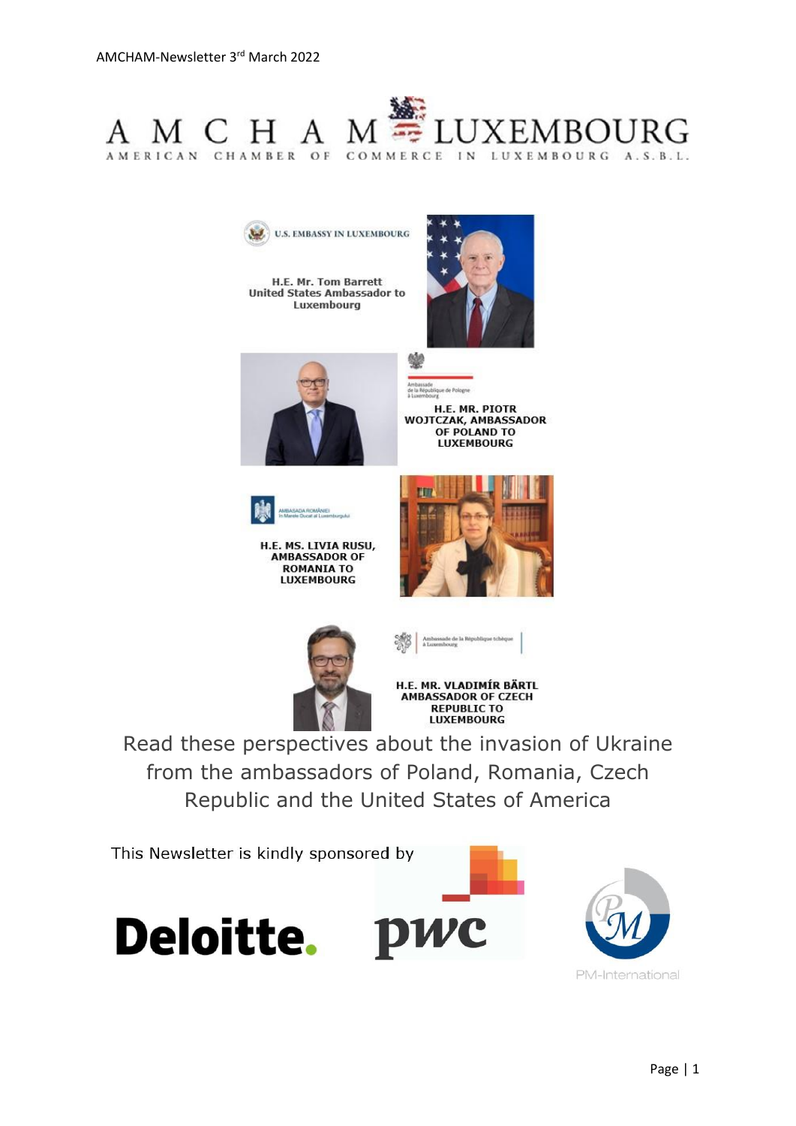

**U.S. EMBASSY IN LUXEMBOURG** 

H.E. Mr. Tom Barrett **United States Ambassador to** Luxembourg





H.E. MR. PIOTR **WOJTCZAK, AMBASSADOR** OF POLAND TO **LUXEMBOURG** 



H.E. MS. LIVIA RUSU,<br>AMBASSADOR OF **ROMANIA TO LUXEMBOURG** 







**REPUBLIC TO LUXEMBOURG** 

Read these perspectives about the invasion of Ukraine from the ambassadors of Poland, Romania, Czech Republic and the United States of America

This Newsletter is kindly sponsored by





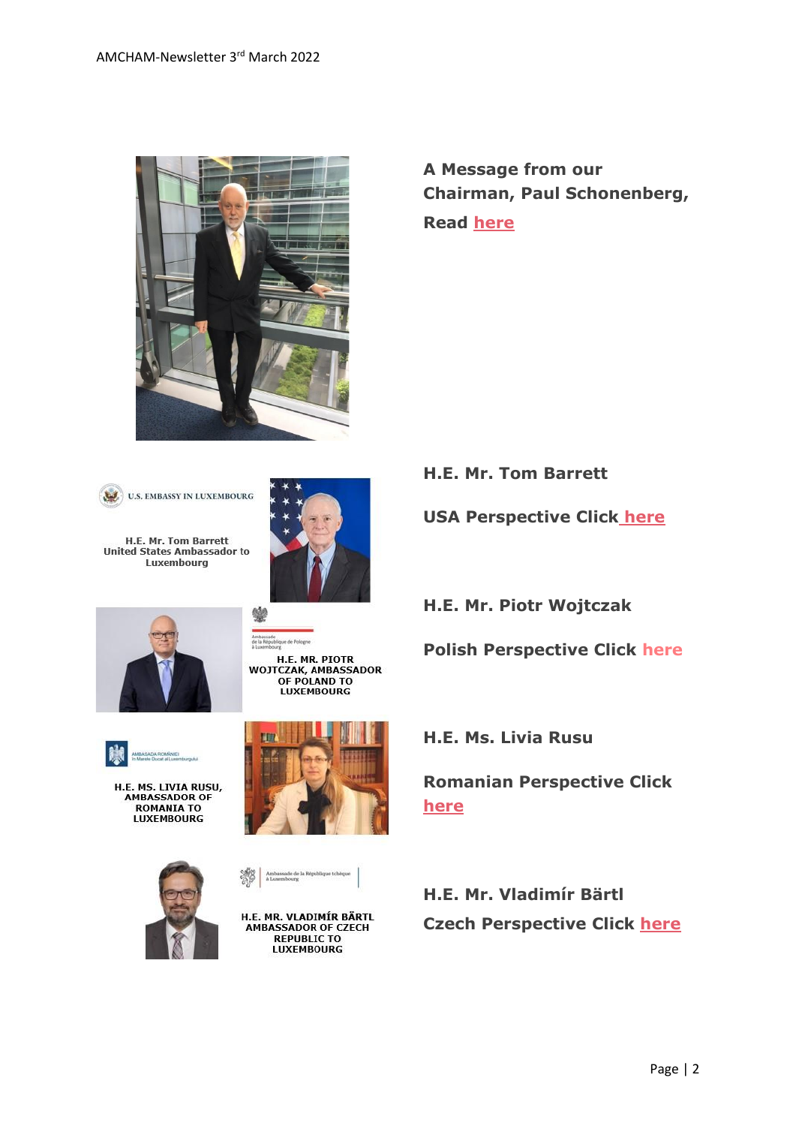

**A Message from our Chairman, Paul Schonenberg, Read [here](https://www.amcham.lu/newsletter/chairmans-remarks-3rd-march-2022/)**



H.E. Mr. Tom Barrett United States Ambassador to Luxembourg



ide<br>Jublique de Pologne





H.E. MS. LIVIA RUSU,<br>AMBASSADOR OF **ROMANIA TO LUXEMBOURG** 





H.E. MR. PIOTR<br>WOJTCZAK, AMBASSADOR<br>OF POLAND TO **LUXEMBOURG** 

Ambassade de la République tchèque<br>à Luxembourg

H.E. MR. VLADIMÍR BÄRTL AMBASSADOR OF CZECH **REPUBLIC TO LUXEMBOURG** 

**H.E. Mr. Tom Barrett**

**USA Perspective Click [here](https://www.amcham.lu/newsletter/us-perspective-on-the-current-state-of-play-between-russia-and-ukraine/)**

**H.E. Mr. Piotr Wojtczak**

**Polish Perspective Click [here](https://www.amcham.lu/newsletter/polish-perspective-on-the-current-state-of-play-between-russia-and-ukraine/)**

**H.E. Ms. Livia Rusu**

**Romanian Perspective Click [here](https://www.amcham.lu/newsletter/romanias-perspective-on-the-current-state-of-play-between-russia-and-ukraine/)**

**H.E. Mr. Vladimír Bärtl Czech Perspective Click [here](https://www.amcham.lu/newsletter/czech-republics-perspective-on-the-current-state-of-play-between-russia-and-ukraine/)**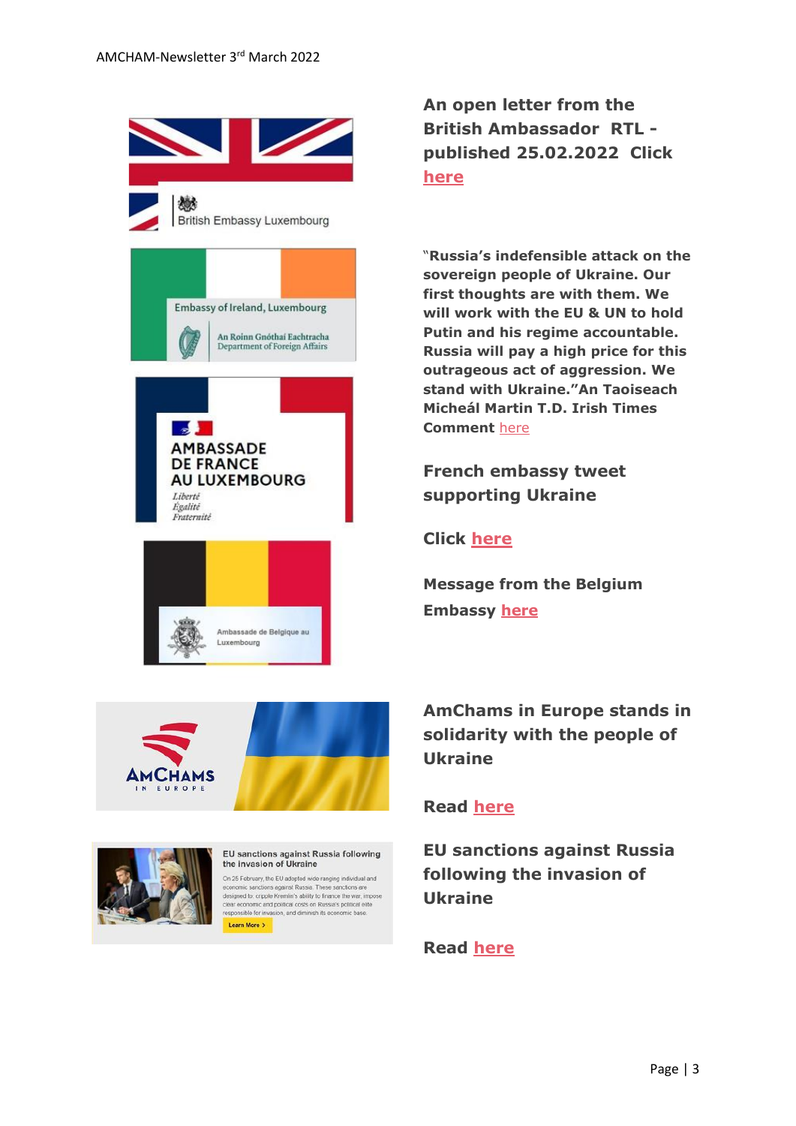





#### EU sanctions against Russia following the invasion of Ukraine On 25 February, the EU adopted wide ranging individual and conomic sanctions against Russia. These sanctions are

designed to: cripple Kremlin's ability to finance the war, impose<br>clear economic and political costs on Russia's political elite<br>responsible for invasion, and diminish its economic base. Learn More >

**An open letter from the British Ambassador RTL published 25.02.2022 Click [here](https://today.rtl.lu/news/luxembourg/a/1869145.html)**

"**Russia's indefensible attack on the sovereign people of Ukraine. Our first thoughts are with them. We will work with the EU & UN to hold Putin and his regime accountable. Russia will pay a high price for this outrageous act of aggression. We stand with Ukraine."An Taoiseach Micheál Martin T.D. Irish Times Comment** [here](https://send.lola.lu/t/d-l-fllhtuk-tdxlhyduy-h/)

**French embassy tweet supporting Ukraine**

**Click [here](https://www.amcham.lu/newsletter/french-embassy-tweet-supporting-ukraine/)**

**Message from the Belgium Embassy [here](https://www.amcham.lu/newsletter/message-from-the-belgium-ambassador-to-luxembourg-thomas-lambert/)**

**AmChams in Europe stands in solidarity with the people of Ukraine**

### **Read [here](https://send.lola.lu/t/d-l-fllhtuk-tdxlhyduy-o/)**

**EU sanctions against Russia following the invasion of Ukraine**

**Read [here](https://www.amcham.lu/wp-content/uploads/2022/02/EU_sanctions_against_Russia_EN.pdf.pdf)**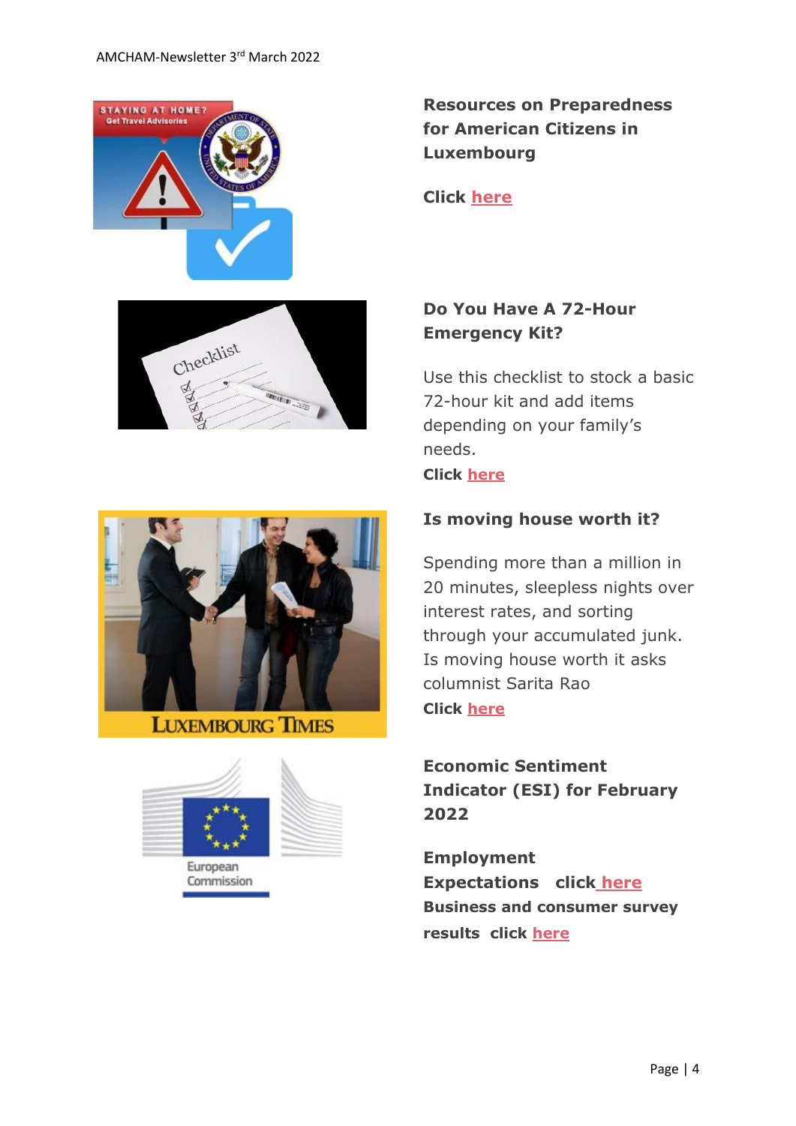





#### **LUXEMBOURG TIMES**



Commission

**Resources on Preparedness for American Citizens in Luxembourg**

**Click [here](https://www.amcham.lu/newsletter/resources-on-preparedness-for-american-citizens-in-luxembourg/)**

## **Do You Have A 72-Hour Emergency Kit?**

Use this checklist to stock a basic 72-hour kit and add items depending on your family's needs. **Click [here](https://www.amcham.lu/wp-content/uploads/2022/02/cema72hr-checklist.pdf)**

#### **Is moving house worth it?**

Spending more than a million in 20 minutes, sleepless nights over interest rates, and sorting through your accumulated junk. Is moving house worth it asks columnist Sarita Rao **Click [here](https://www.luxtimes.lu/en/community-and-lword/is-moving-house-worth-it-620224d6de135b9236ff796c)**

**Economic Sentiment Indicator (ESI) for February 2022**

**Employment Expectations click [here](https://www.amcham.lu/wp-content/uploads/2022/02/bcs_2022_02_en.pdf) Business and consumer survey results click [here](https://www.amcham.lu/wp-content/uploads/2022/02/bcs_2022_02_statistical_annex_en.pdf)**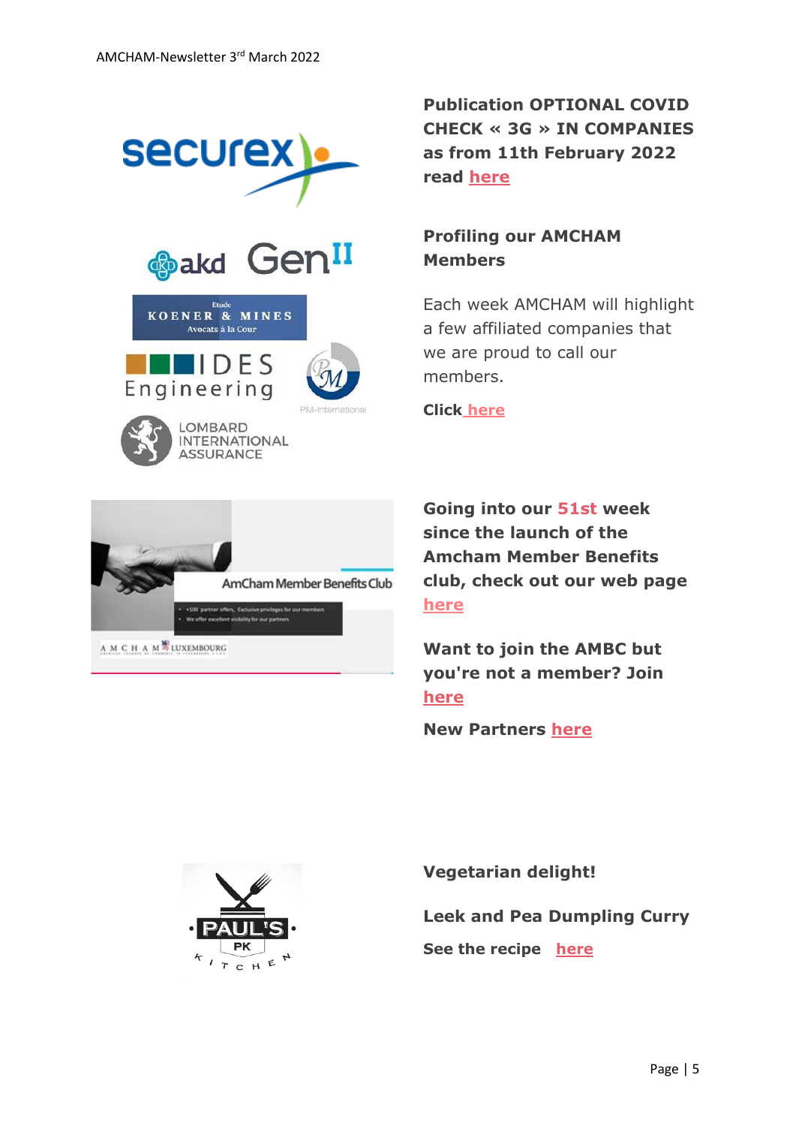

A M C H A M<sup>P</sup>LUXEMBOURG

**Publication OPTIONAL COVID CHECK « 3G » IN COMPANIES as from 11th February 2022 read [here](https://securex.lu/sites/default/files/2022-02/Optional_Covid_Check_3G_in_companies.pdf)**

### **Profiling our AMCHAM Members**

Each week AMCHAM will highlight a few affiliated companies that we are proud to call our members.

**Click [here](https://www.amcham.lu/newsletter/profiling-amcham-members-03rd-march-2022/)**

**Going into our 51st week since the launch of the Amcham Member Benefits club, check out our web page [here](https://www.amcham.lu/amcham-benefits-club/)**

**Want to join the AMBC but you're not a member? Join [here](https://www.amcham.lu/amcham-benefits-club/ambc-card-for-non-members/)**

**New Partners [here](https://www.amcham.lu/newsletter/new-mbc-partners-as-of-3rd-march-2022/)**



**Vegetarian delight!**

**Leek and Pea Dumpling Curry**

**See the recipe [here](https://www.amcham.lu/newsletter/recipe-leek-and-pea-dumpling-curry/)**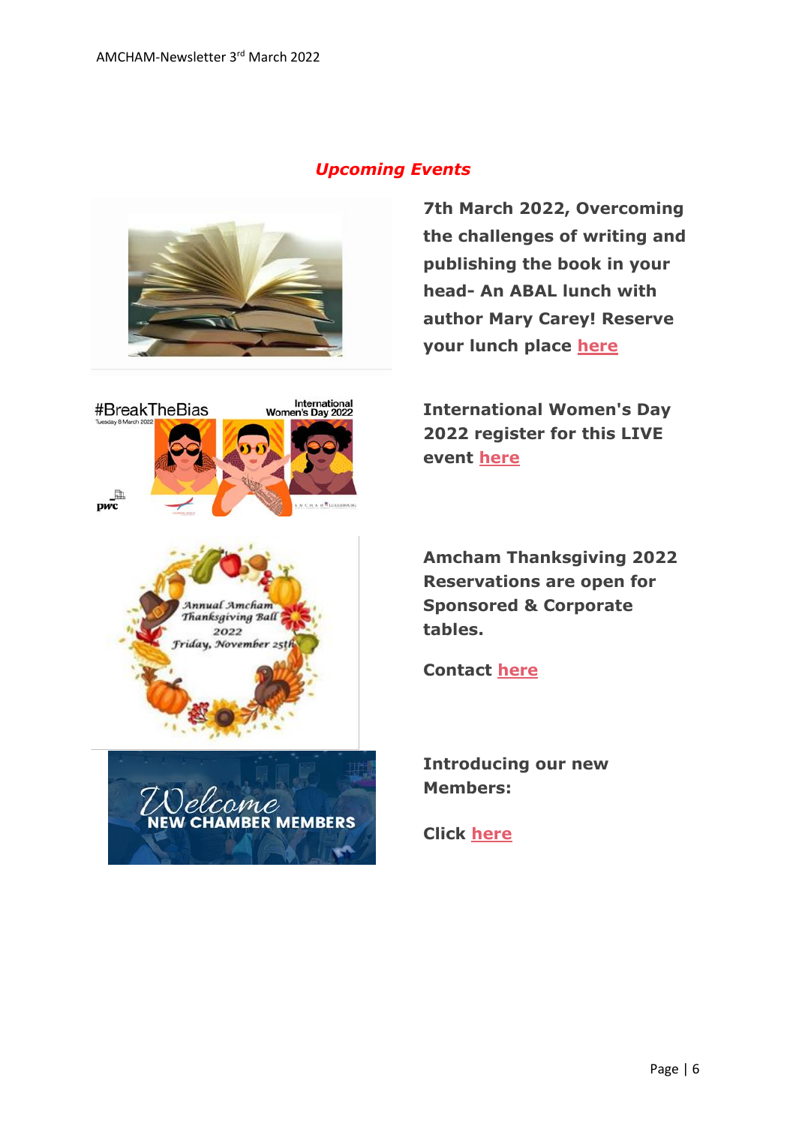





**7th March 2022, Overcoming the challenges of writing and publishing the book in your head- An ABAL lunch with author Mary Carey! Reserve your lunch place [here](https://www.amcham.lu/events/overcoming-the-challenges-of-writing-and-publishing-the-book-in-your-head/)**

**International Women's Day 2022 register for this LIVE event [here](https://www.amcham.lu/events/international-womens-day-2022/)**



**ER MEMBERS** 

 $\mathbf{r}$ 

**Amcham Thanksgiving 2022 Reservations are open for Sponsored & Corporate tables.** 

**Contact [here](mailto:daniel@amcham.lu)**

**Introducing our new Members:**

**Click [here](https://www.amcham.lu/newsletter/new-members-as-of-3rd-march-2022/)**